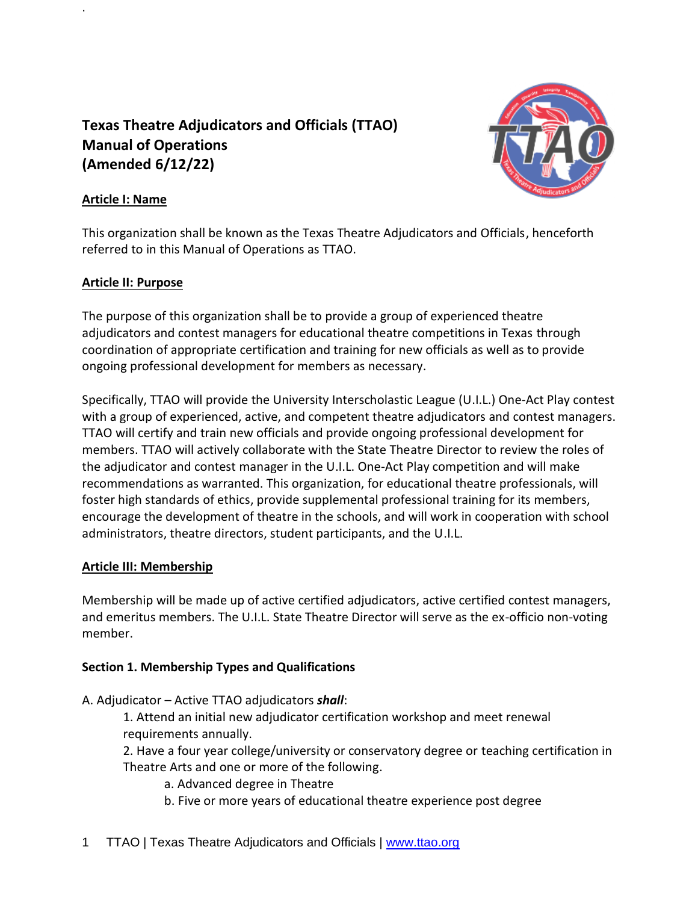# **Texas Theatre Adjudicators and Officials (TTAO) Manual of Operations (Amended 6/12/22)**



# **Article I: Name**

.

This organization shall be known as the Texas Theatre Adjudicators and Officials, henceforth referred to in this Manual of Operations as TTAO.

# **Article II: Purpose**

The purpose of this organization shall be to provide a group of experienced theatre adjudicators and contest managers for educational theatre competitions in Texas through coordination of appropriate certification and training for new officials as well as to provide ongoing professional development for members as necessary.

Specifically, TTAO will provide the University Interscholastic League (U.I.L.) One-Act Play contest with a group of experienced, active, and competent theatre adjudicators and contest managers. TTAO will certify and train new officials and provide ongoing professional development for members. TTAO will actively collaborate with the State Theatre Director to review the roles of the adjudicator and contest manager in the U.I.L. One-Act Play competition and will make recommendations as warranted. This organization, for educational theatre professionals, will foster high standards of ethics, provide supplemental professional training for its members, encourage the development of theatre in the schools, and will work in cooperation with school administrators, theatre directors, student participants, and the U.I.L.

# **Article III: Membership**

Membership will be made up of active certified adjudicators, active certified contest managers, and emeritus members. The U.I.L. State Theatre Director will serve as the ex-officio non-voting member.

# **Section 1. Membership Types and Qualifications**

A. Adjudicator – Active TTAO adjudicators *shall*:

1. Attend an initial new adjudicator certification workshop and meet renewal requirements annually.

2. Have a four year college/university or conservatory degree or teaching certification in Theatre Arts and one or more of the following.

a. Advanced degree in Theatre

b. Five or more years of educational theatre experience post degree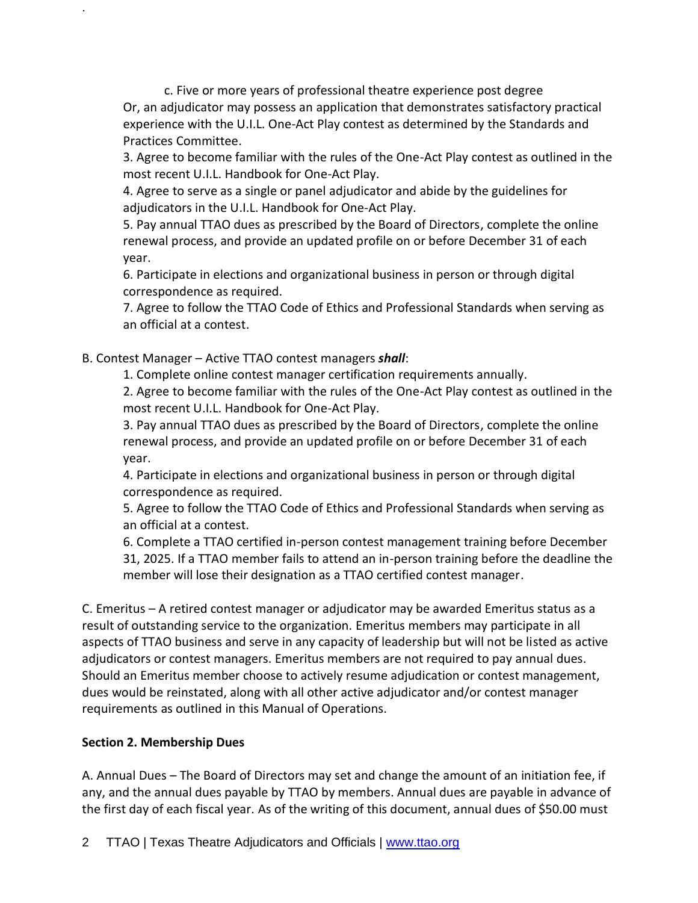c. Five or more years of professional theatre experience post degree Or, an adjudicator may possess an application that demonstrates satisfactory practical experience with the U.I.L. One-Act Play contest as determined by the Standards and Practices Committee.

3. Agree to become familiar with the rules of the One-Act Play contest as outlined in the most recent U.I.L. Handbook for One-Act Play.

4. Agree to serve as a single or panel adjudicator and abide by the guidelines for adjudicators in the U.I.L. Handbook for One-Act Play.

5. Pay annual TTAO dues as prescribed by the Board of Directors, complete the online renewal process, and provide an updated profile on or before December 31 of each year.

6. Participate in elections and organizational business in person or through digital correspondence as required.

7. Agree to follow the TTAO Code of Ethics and Professional Standards when serving as an official at a contest.

B. Contest Manager – Active TTAO contest managers *shall*:

1. Complete online contest manager certification requirements annually.

2. Agree to become familiar with the rules of the One-Act Play contest as outlined in the most recent U.I.L. Handbook for One-Act Play.

3. Pay annual TTAO dues as prescribed by the Board of Directors, complete the online renewal process, and provide an updated profile on or before December 31 of each year.

4. Participate in elections and organizational business in person or through digital correspondence as required.

5. Agree to follow the TTAO Code of Ethics and Professional Standards when serving as an official at a contest.

6. Complete a TTAO certified in-person contest management training before December 31, 2025. If a TTAO member fails to attend an in-person training before the deadline the member will lose their designation as a TTAO certified contest manager.

C. Emeritus – A retired contest manager or adjudicator may be awarded Emeritus status as a result of outstanding service to the organization. Emeritus members may participate in all aspects of TTAO business and serve in any capacity of leadership but will not be listed as active adjudicators or contest managers. Emeritus members are not required to pay annual dues. Should an Emeritus member choose to actively resume adjudication or contest management, dues would be reinstated, along with all other active adjudicator and/or contest manager requirements as outlined in this Manual of Operations.

# **Section 2. Membership Dues**

.

A. Annual Dues – The Board of Directors may set and change the amount of an initiation fee, if any, and the annual dues payable by TTAO by members. Annual dues are payable in advance of the first day of each fiscal year. As of the writing of this document, annual dues of \$50.00 must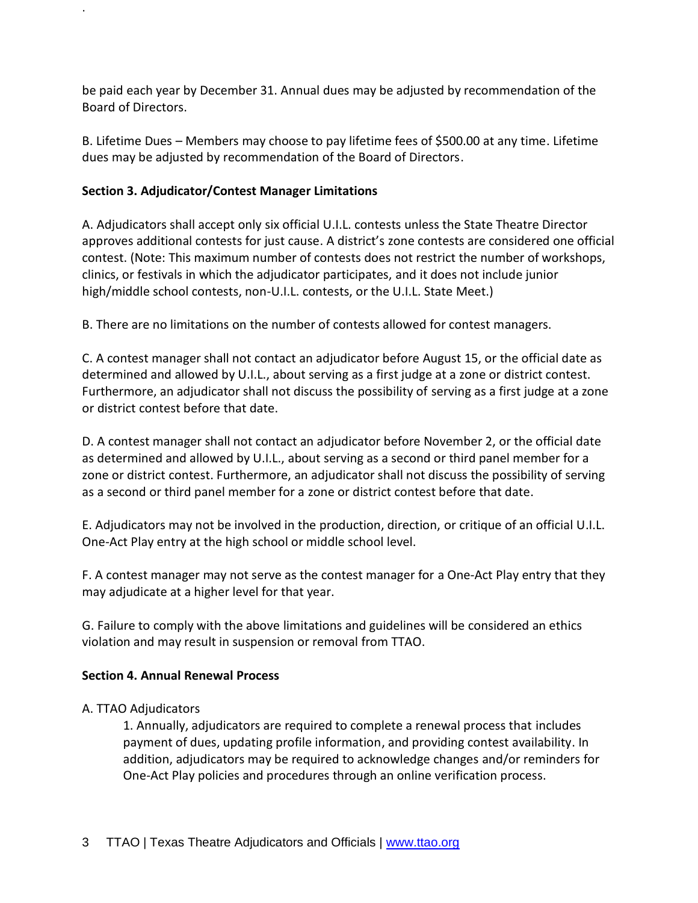be paid each year by December 31. Annual dues may be adjusted by recommendation of the Board of Directors.

B. Lifetime Dues – Members may choose to pay lifetime fees of \$500.00 at any time. Lifetime dues may be adjusted by recommendation of the Board of Directors.

# **Section 3. Adjudicator/Contest Manager Limitations**

.

A. Adjudicators shall accept only six official U.I.L. contests unless the State Theatre Director approves additional contests for just cause. A district's zone contests are considered one official contest. (Note: This maximum number of contests does not restrict the number of workshops, clinics, or festivals in which the adjudicator participates, and it does not include junior high/middle school contests, non-U.I.L. contests, or the U.I.L. State Meet.)

B. There are no limitations on the number of contests allowed for contest managers.

C. A contest manager shall not contact an adjudicator before August 15, or the official date as determined and allowed by U.I.L., about serving as a first judge at a zone or district contest. Furthermore, an adjudicator shall not discuss the possibility of serving as a first judge at a zone or district contest before that date.

D. A contest manager shall not contact an adjudicator before November 2, or the official date as determined and allowed by U.I.L., about serving as a second or third panel member for a zone or district contest. Furthermore, an adjudicator shall not discuss the possibility of serving as a second or third panel member for a zone or district contest before that date.

E. Adjudicators may not be involved in the production, direction, or critique of an official U.I.L. One-Act Play entry at the high school or middle school level.

F. A contest manager may not serve as the contest manager for a One-Act Play entry that they may adjudicate at a higher level for that year.

G. Failure to comply with the above limitations and guidelines will be considered an ethics violation and may result in suspension or removal from TTAO.

# **Section 4. Annual Renewal Process**

# A. TTAO Adjudicators

1. Annually, adjudicators are required to complete a renewal process that includes payment of dues, updating profile information, and providing contest availability. In addition, adjudicators may be required to acknowledge changes and/or reminders for One-Act Play policies and procedures through an online verification process.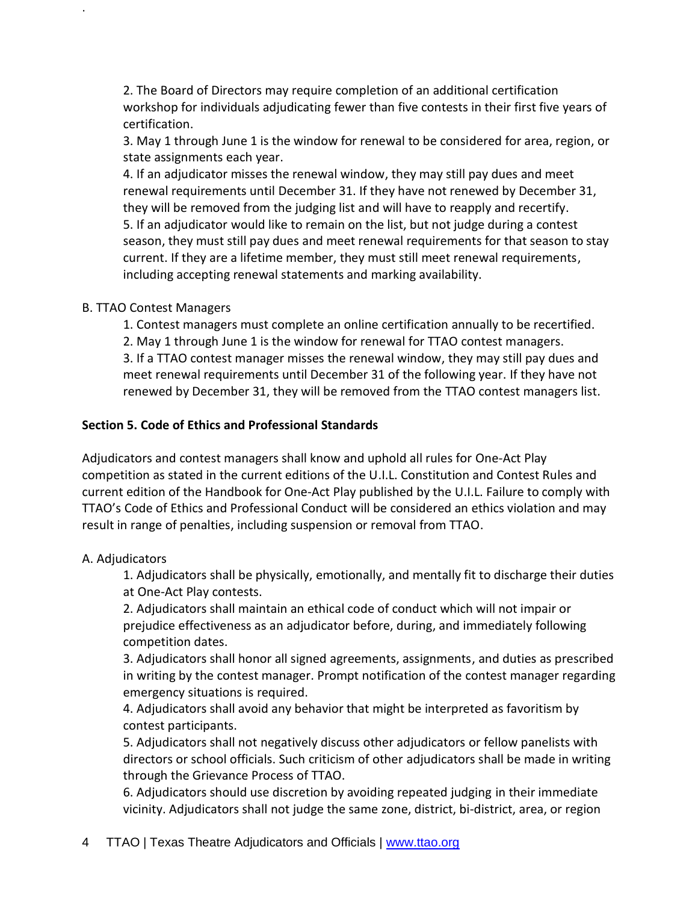2. The Board of Directors may require completion of an additional certification workshop for individuals adjudicating fewer than five contests in their first five years of certification.

3. May 1 through June 1 is the window for renewal to be considered for area, region, or state assignments each year.

4. If an adjudicator misses the renewal window, they may still pay dues and meet renewal requirements until December 31. If they have not renewed by December 31, they will be removed from the judging list and will have to reapply and recertify. 5. If an adjudicator would like to remain on the list, but not judge during a contest season, they must still pay dues and meet renewal requirements for that season to stay current. If they are a lifetime member, they must still meet renewal requirements, including accepting renewal statements and marking availability.

#### B. TTAO Contest Managers

.

1. Contest managers must complete an online certification annually to be recertified.

2. May 1 through June 1 is the window for renewal for TTAO contest managers.

3. If a TTAO contest manager misses the renewal window, they may still pay dues and meet renewal requirements until December 31 of the following year. If they have not renewed by December 31, they will be removed from the TTAO contest managers list.

#### **Section 5. Code of Ethics and Professional Standards**

Adjudicators and contest managers shall know and uphold all rules for One-Act Play competition as stated in the current editions of the U.I.L. Constitution and Contest Rules and current edition of the Handbook for One-Act Play published by the U.I.L. Failure to comply with TTAO's Code of Ethics and Professional Conduct will be considered an ethics violation and may result in range of penalties, including suspension or removal from TTAO.

# A. Adjudicators

1. Adjudicators shall be physically, emotionally, and mentally fit to discharge their duties at One-Act Play contests.

2. Adjudicators shall maintain an ethical code of conduct which will not impair or prejudice effectiveness as an adjudicator before, during, and immediately following competition dates.

3. Adjudicators shall honor all signed agreements, assignments, and duties as prescribed in writing by the contest manager. Prompt notification of the contest manager regarding emergency situations is required.

4. Adjudicators shall avoid any behavior that might be interpreted as favoritism by contest participants.

5. Adjudicators shall not negatively discuss other adjudicators or fellow panelists with directors or school officials. Such criticism of other adjudicators shall be made in writing through the Grievance Process of TTAO.

6. Adjudicators should use discretion by avoiding repeated judging in their immediate vicinity. Adjudicators shall not judge the same zone, district, bi-district, area, or region

4 TTAO | Texas Theatre Adjudicators and Officials | [www.ttao.org](http://www.ttao.org/)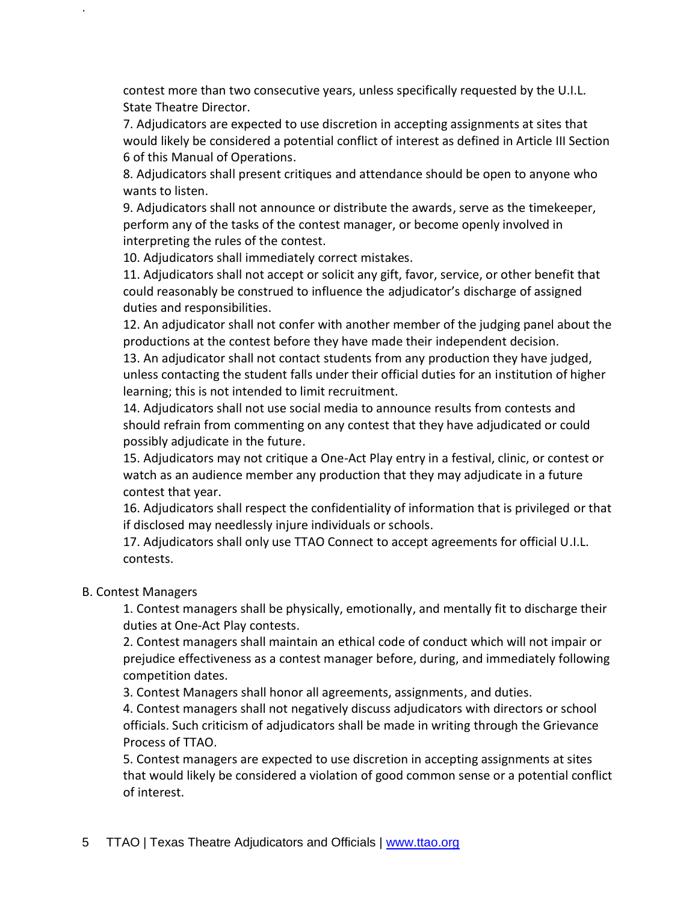contest more than two consecutive years, unless specifically requested by the U.I.L. State Theatre Director.

7. Adjudicators are expected to use discretion in accepting assignments at sites that would likely be considered a potential conflict of interest as defined in Article III Section 6 of this Manual of Operations.

8. Adjudicators shall present critiques and attendance should be open to anyone who wants to listen.

9. Adjudicators shall not announce or distribute the awards, serve as the timekeeper, perform any of the tasks of the contest manager, or become openly involved in interpreting the rules of the contest.

10. Adjudicators shall immediately correct mistakes.

11. Adjudicators shall not accept or solicit any gift, favor, service, or other benefit that could reasonably be construed to influence the adjudicator's discharge of assigned duties and responsibilities.

12. An adjudicator shall not confer with another member of the judging panel about the productions at the contest before they have made their independent decision.

13. An adjudicator shall not contact students from any production they have judged, unless contacting the student falls under their official duties for an institution of higher learning; this is not intended to limit recruitment.

14. Adjudicators shall not use social media to announce results from contests and should refrain from commenting on any contest that they have adjudicated or could possibly adjudicate in the future.

15. Adjudicators may not critique a One-Act Play entry in a festival, clinic, or contest or watch as an audience member any production that they may adjudicate in a future contest that year.

16. Adjudicators shall respect the confidentiality of information that is privileged or that if disclosed may needlessly injure individuals or schools.

17. Adjudicators shall only use TTAO Connect to accept agreements for official U.I.L. contests.

#### B. Contest Managers

.

1. Contest managers shall be physically, emotionally, and mentally fit to discharge their duties at One-Act Play contests.

2. Contest managers shall maintain an ethical code of conduct which will not impair or prejudice effectiveness as a contest manager before, during, and immediately following competition dates.

3. Contest Managers shall honor all agreements, assignments, and duties.

4. Contest managers shall not negatively discuss adjudicators with directors or school officials. Such criticism of adjudicators shall be made in writing through the Grievance Process of TTAO.

5. Contest managers are expected to use discretion in accepting assignments at sites that would likely be considered a violation of good common sense or a potential conflict of interest.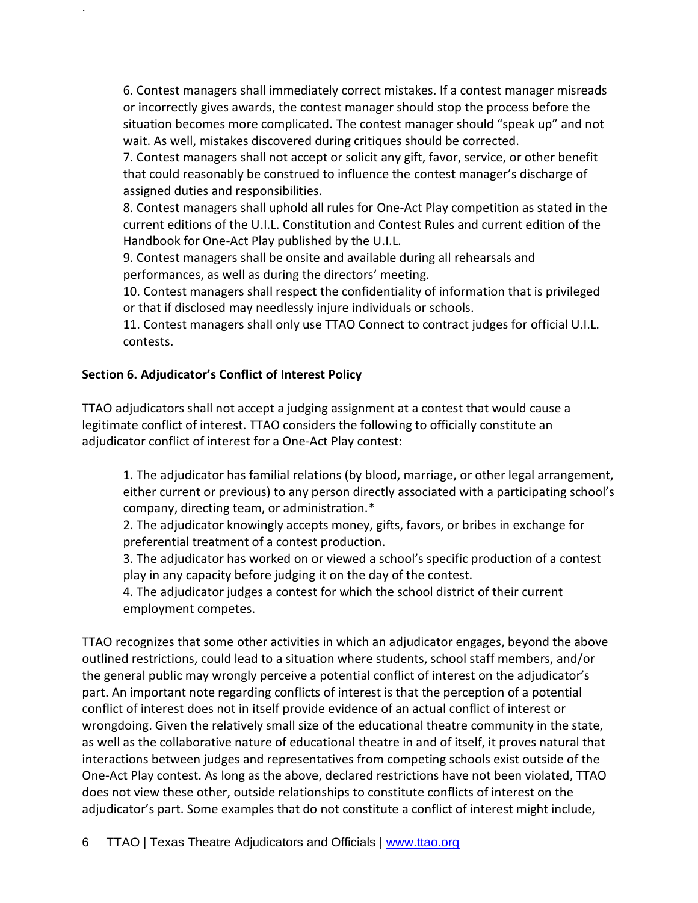6. Contest managers shall immediately correct mistakes. If a contest manager misreads or incorrectly gives awards, the contest manager should stop the process before the situation becomes more complicated. The contest manager should "speak up" and not wait. As well, mistakes discovered during critiques should be corrected.

7. Contest managers shall not accept or solicit any gift, favor, service, or other benefit that could reasonably be construed to influence the contest manager's discharge of assigned duties and responsibilities.

8. Contest managers shall uphold all rules for One-Act Play competition as stated in the current editions of the U.I.L. Constitution and Contest Rules and current edition of the Handbook for One-Act Play published by the U.I.L.

9. Contest managers shall be onsite and available during all rehearsals and performances, as well as during the directors' meeting.

10. Contest managers shall respect the confidentiality of information that is privileged or that if disclosed may needlessly injure individuals or schools.

11. Contest managers shall only use TTAO Connect to contract judges for official U.I.L. contests.

# **Section 6. Adjudicator's Conflict of Interest Policy**

.

TTAO adjudicators shall not accept a judging assignment at a contest that would cause a legitimate conflict of interest. TTAO considers the following to officially constitute an adjudicator conflict of interest for a One-Act Play contest:

1. The adjudicator has familial relations (by blood, marriage, or other legal arrangement, either current or previous) to any person directly associated with a participating school's company, directing team, or administration.\*

2. The adjudicator knowingly accepts money, gifts, favors, or bribes in exchange for preferential treatment of a contest production.

3. The adjudicator has worked on or viewed a school's specific production of a contest play in any capacity before judging it on the day of the contest.

4. The adjudicator judges a contest for which the school district of their current employment competes.

TTAO recognizes that some other activities in which an adjudicator engages, beyond the above outlined restrictions, could lead to a situation where students, school staff members, and/or the general public may wrongly perceive a potential conflict of interest on the adjudicator's part. An important note regarding conflicts of interest is that the perception of a potential conflict of interest does not in itself provide evidence of an actual conflict of interest or wrongdoing. Given the relatively small size of the educational theatre community in the state, as well as the collaborative nature of educational theatre in and of itself, it proves natural that interactions between judges and representatives from competing schools exist outside of the One-Act Play contest. As long as the above, declared restrictions have not been violated, TTAO does not view these other, outside relationships to constitute conflicts of interest on the adjudicator's part. Some examples that do not constitute a conflict of interest might include,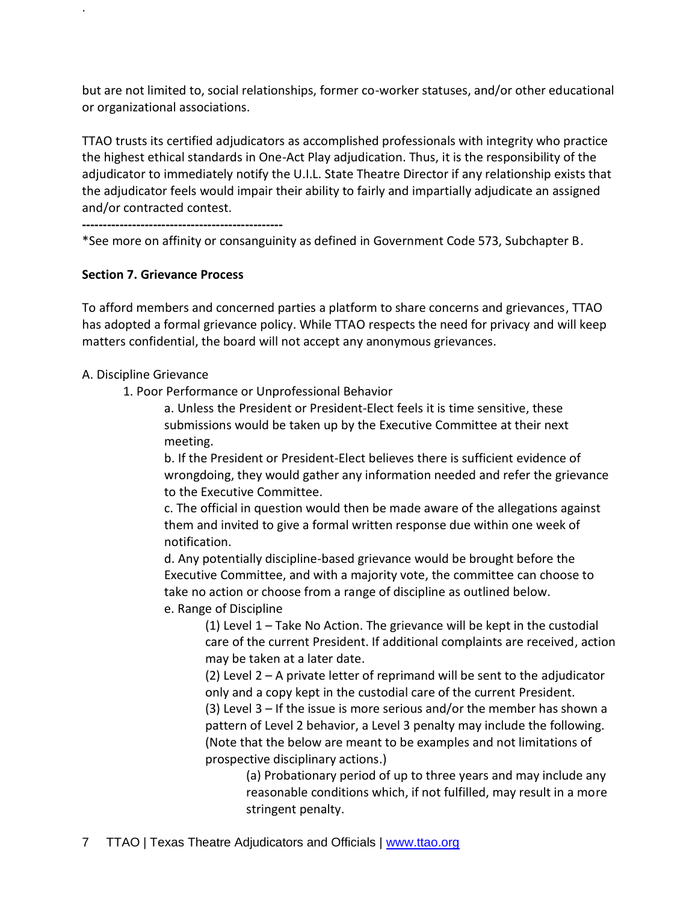but are not limited to, social relationships, former co-worker statuses, and/or other educational or organizational associations.

TTAO trusts its certified adjudicators as accomplished professionals with integrity who practice the highest ethical standards in One-Act Play adjudication. Thus, it is the responsibility of the adjudicator to immediately notify the U.I.L. State Theatre Director if any relationship exists that the adjudicator feels would impair their ability to fairly and impartially adjudicate an assigned and/or contracted contest.

**------------------------------------------------**

\*See more on affinity or consanguinity as defined in Government Code 573, Subchapter B.

# **Section 7. Grievance Process**

.

To afford members and concerned parties a platform to share concerns and grievances, TTAO has adopted a formal grievance policy. While TTAO respects the need for privacy and will keep matters confidential, the board will not accept any anonymous grievances.

# A. Discipline Grievance

1. Poor Performance or Unprofessional Behavior

a. Unless the President or President-Elect feels it is time sensitive, these submissions would be taken up by the Executive Committee at their next meeting.

b. If the President or President-Elect believes there is sufficient evidence of wrongdoing, they would gather any information needed and refer the grievance to the Executive Committee.

c. The official in question would then be made aware of the allegations against them and invited to give a formal written response due within one week of notification.

d. Any potentially discipline-based grievance would be brought before the Executive Committee, and with a majority vote, the committee can choose to take no action or choose from a range of discipline as outlined below.

e. Range of Discipline

(1) Level 1 – Take No Action. The grievance will be kept in the custodial care of the current President. If additional complaints are received, action may be taken at a later date.

(2) Level 2 – A private letter of reprimand will be sent to the adjudicator only and a copy kept in the custodial care of the current President. (3) Level 3 – If the issue is more serious and/or the member has shown a pattern of Level 2 behavior, a Level 3 penalty may include the following. (Note that the below are meant to be examples and not limitations of prospective disciplinary actions.)

> (a) Probationary period of up to three years and may include any reasonable conditions which, if not fulfilled, may result in a more stringent penalty.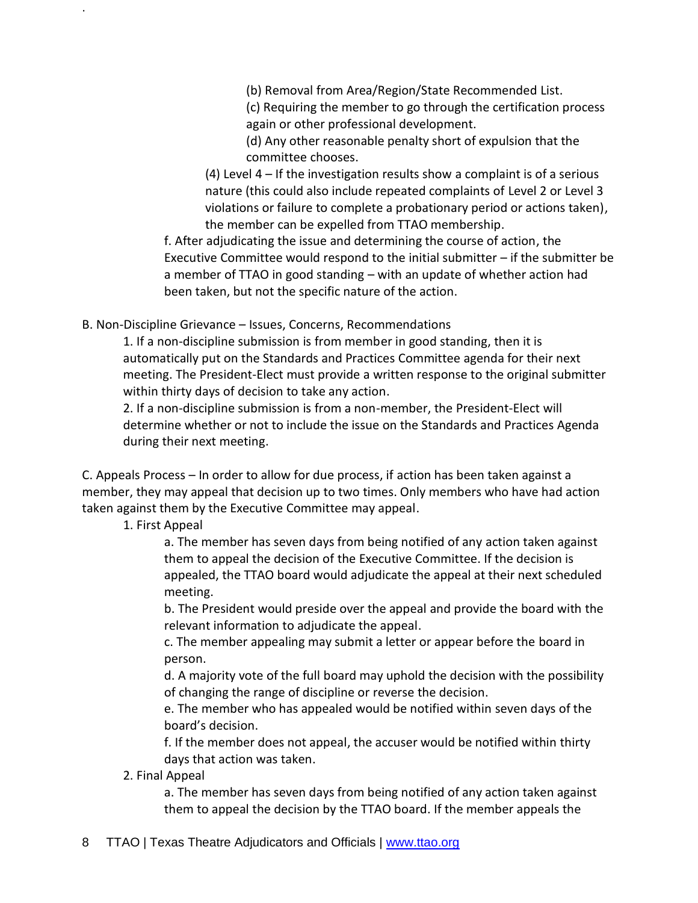(b) Removal from Area/Region/State Recommended List.

(c) Requiring the member to go through the certification process again or other professional development.

(d) Any other reasonable penalty short of expulsion that the committee chooses.

(4) Level 4 – If the investigation results show a complaint is of a serious nature (this could also include repeated complaints of Level 2 or Level 3 violations or failure to complete a probationary period or actions taken), the member can be expelled from TTAO membership.

f. After adjudicating the issue and determining the course of action, the Executive Committee would respond to the initial submitter – if the submitter be a member of TTAO in good standing – with an update of whether action had been taken, but not the specific nature of the action.

B. Non-Discipline Grievance – Issues, Concerns, Recommendations

1. If a non-discipline submission is from member in good standing, then it is automatically put on the Standards and Practices Committee agenda for their next meeting. The President-Elect must provide a written response to the original submitter within thirty days of decision to take any action.

2. If a non-discipline submission is from a non-member, the President-Elect will determine whether or not to include the issue on the Standards and Practices Agenda during their next meeting.

C. Appeals Process – In order to allow for due process, if action has been taken against a member, they may appeal that decision up to two times. Only members who have had action taken against them by the Executive Committee may appeal.

1. First Appeal

.

a. The member has seven days from being notified of any action taken against them to appeal the decision of the Executive Committee. If the decision is appealed, the TTAO board would adjudicate the appeal at their next scheduled meeting.

b. The President would preside over the appeal and provide the board with the relevant information to adjudicate the appeal.

c. The member appealing may submit a letter or appear before the board in person.

d. A majority vote of the full board may uphold the decision with the possibility of changing the range of discipline or reverse the decision.

e. The member who has appealed would be notified within seven days of the board's decision.

f. If the member does not appeal, the accuser would be notified within thirty days that action was taken.

2. Final Appeal

a. The member has seven days from being notified of any action taken against them to appeal the decision by the TTAO board. If the member appeals the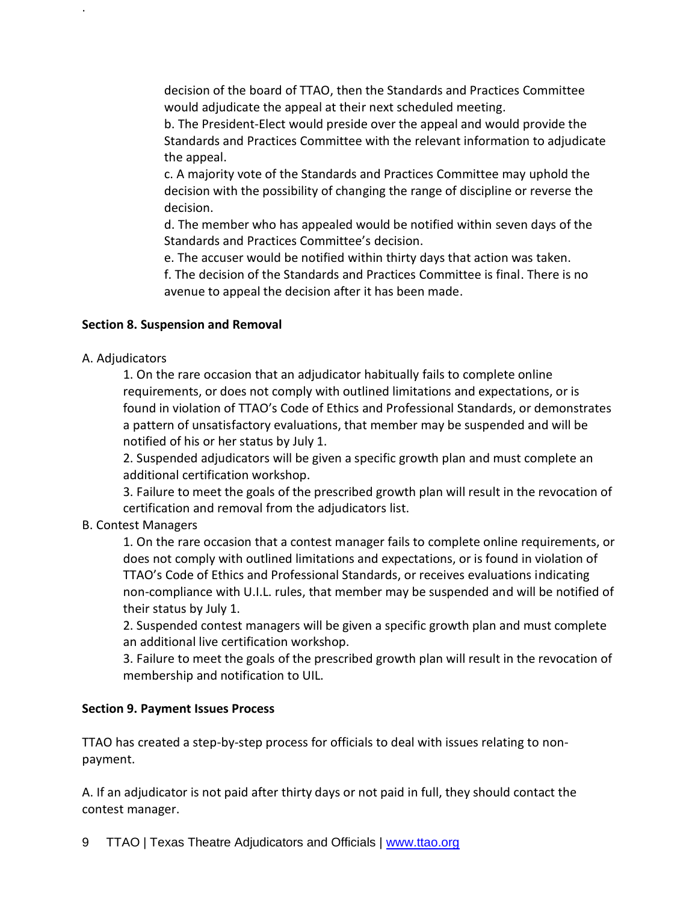decision of the board of TTAO, then the Standards and Practices Committee would adjudicate the appeal at their next scheduled meeting.

b. The President-Elect would preside over the appeal and would provide the Standards and Practices Committee with the relevant information to adjudicate the appeal.

c. A majority vote of the Standards and Practices Committee may uphold the decision with the possibility of changing the range of discipline or reverse the decision.

d. The member who has appealed would be notified within seven days of the Standards and Practices Committee's decision.

e. The accuser would be notified within thirty days that action was taken.

f. The decision of the Standards and Practices Committee is final. There is no avenue to appeal the decision after it has been made.

# **Section 8. Suspension and Removal**

# A. Adjudicators

.

1. On the rare occasion that an adjudicator habitually fails to complete online requirements, or does not comply with outlined limitations and expectations, or is found in violation of TTAO's Code of Ethics and Professional Standards, or demonstrates a pattern of unsatisfactory evaluations, that member may be suspended and will be notified of his or her status by July 1.

2. Suspended adjudicators will be given a specific growth plan and must complete an additional certification workshop.

3. Failure to meet the goals of the prescribed growth plan will result in the revocation of certification and removal from the adjudicators list.

# B. Contest Managers

1. On the rare occasion that a contest manager fails to complete online requirements, or does not comply with outlined limitations and expectations, or is found in violation of TTAO's Code of Ethics and Professional Standards, or receives evaluations indicating non-compliance with U.I.L. rules, that member may be suspended and will be notified of their status by July 1.

2. Suspended contest managers will be given a specific growth plan and must complete an additional live certification workshop.

3. Failure to meet the goals of the prescribed growth plan will result in the revocation of membership and notification to UIL.

# **Section 9. Payment Issues Process**

TTAO has created a step-by-step process for officials to deal with issues relating to nonpayment.

A. If an adjudicator is not paid after thirty days or not paid in full, they should contact the contest manager.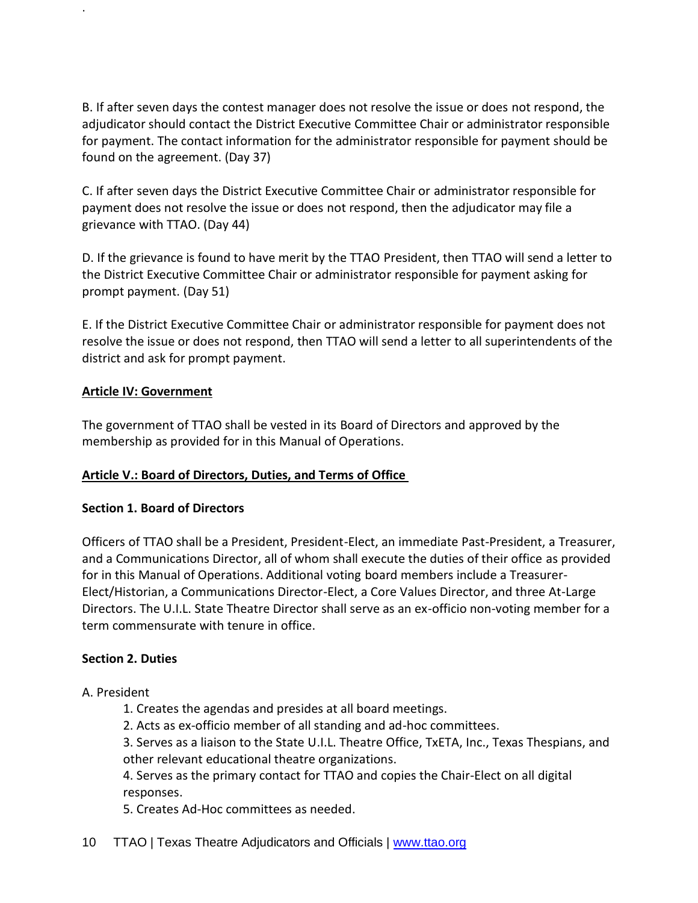B. If after seven days the contest manager does not resolve the issue or does not respond, the adjudicator should contact the District Executive Committee Chair or administrator responsible for payment. The contact information for the administrator responsible for payment should be found on the agreement. (Day 37)

C. If after seven days the District Executive Committee Chair or administrator responsible for payment does not resolve the issue or does not respond, then the adjudicator may file a grievance with TTAO. (Day 44)

D. If the grievance is found to have merit by the TTAO President, then TTAO will send a letter to the District Executive Committee Chair or administrator responsible for payment asking for prompt payment. (Day 51)

E. If the District Executive Committee Chair or administrator responsible for payment does not resolve the issue or does not respond, then TTAO will send a letter to all superintendents of the district and ask for prompt payment.

#### **Article IV: Government**

.

The government of TTAO shall be vested in its Board of Directors and approved by the membership as provided for in this Manual of Operations.

# **Article V.: Board of Directors, Duties, and Terms of Office**

#### **Section 1. Board of Directors**

Officers of TTAO shall be a President, President-Elect, an immediate Past-President, a Treasurer, and a Communications Director, all of whom shall execute the duties of their office as provided for in this Manual of Operations. Additional voting board members include a Treasurer-Elect/Historian, a Communications Director-Elect, a Core Values Director, and three At-Large Directors. The U.I.L. State Theatre Director shall serve as an ex-officio non-voting member for a term commensurate with tenure in office.

# **Section 2. Duties**

A. President

- 1. Creates the agendas and presides at all board meetings.
- 2. Acts as ex-officio member of all standing and ad-hoc committees.

3. Serves as a liaison to the State U.I.L. Theatre Office, TxETA, Inc., Texas Thespians, and other relevant educational theatre organizations.

4. Serves as the primary contact for TTAO and copies the Chair-Elect on all digital responses.

5. Creates Ad-Hoc committees as needed.

10 TTAO | Texas Theatre Adjudicators and Officials | [www.ttao.org](http://www.ttao.org/)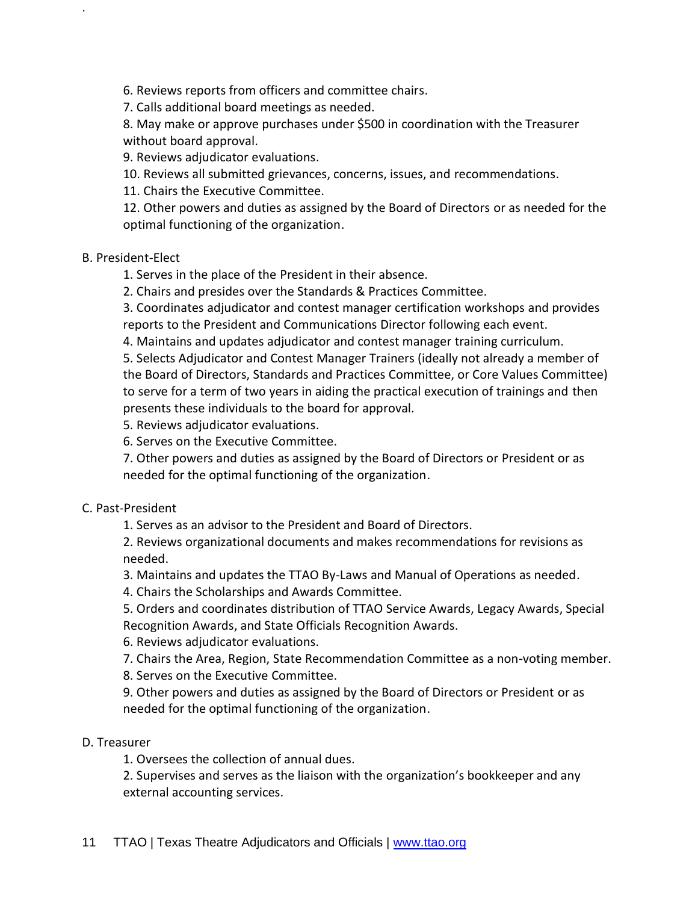6. Reviews reports from officers and committee chairs.

7. Calls additional board meetings as needed.

8. May make or approve purchases under \$500 in coordination with the Treasurer without board approval.

9. Reviews adjudicator evaluations.

10. Reviews all submitted grievances, concerns, issues, and recommendations.

11. Chairs the Executive Committee.

12. Other powers and duties as assigned by the Board of Directors or as needed for the optimal functioning of the organization.

#### B. President-Elect

.

1. Serves in the place of the President in their absence.

2. Chairs and presides over the Standards & Practices Committee.

3. Coordinates adjudicator and contest manager certification workshops and provides reports to the President and Communications Director following each event.

4. Maintains and updates adjudicator and contest manager training curriculum.

5. Selects Adjudicator and Contest Manager Trainers (ideally not already a member of the Board of Directors, Standards and Practices Committee, or Core Values Committee) to serve for a term of two years in aiding the practical execution of trainings and then presents these individuals to the board for approval.

5. Reviews adjudicator evaluations.

6. Serves on the Executive Committee.

7. Other powers and duties as assigned by the Board of Directors or President or as needed for the optimal functioning of the organization.

#### C. Past-President

1. Serves as an advisor to the President and Board of Directors.

2. Reviews organizational documents and makes recommendations for revisions as needed.

3. Maintains and updates the TTAO By-Laws and Manual of Operations as needed.

4. Chairs the Scholarships and Awards Committee.

5. Orders and coordinates distribution of TTAO Service Awards, Legacy Awards, Special Recognition Awards, and State Officials Recognition Awards.

6. Reviews adjudicator evaluations.

7. Chairs the Area, Region, State Recommendation Committee as a non-voting member.

8. Serves on the Executive Committee.

9. Other powers and duties as assigned by the Board of Directors or President or as needed for the optimal functioning of the organization.

# D. Treasurer

1. Oversees the collection of annual dues.

2. Supervises and serves as the liaison with the organization's bookkeeper and any external accounting services.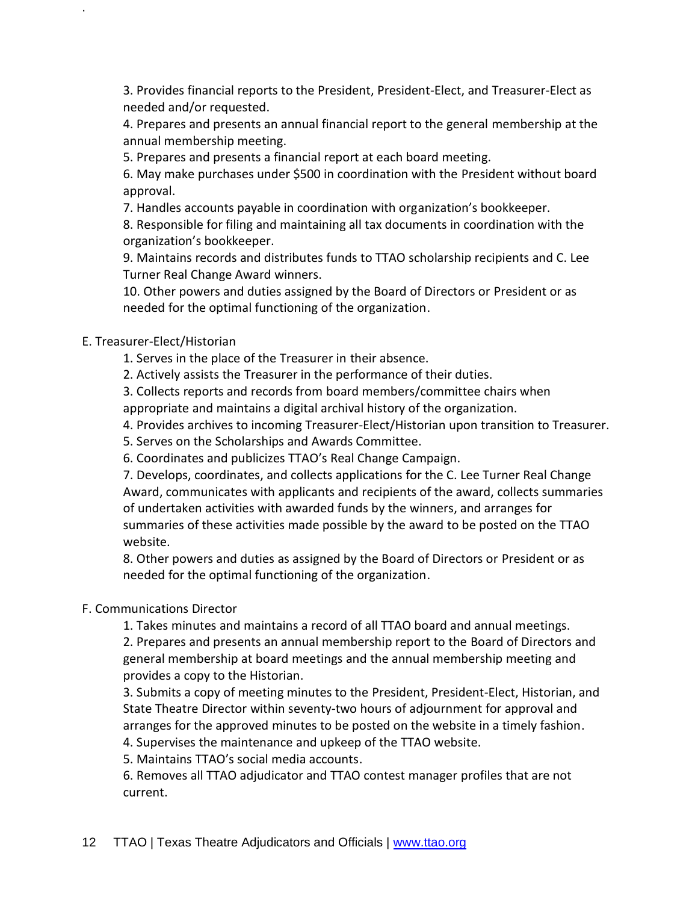3. Provides financial reports to the President, President-Elect, and Treasurer-Elect as needed and/or requested.

4. Prepares and presents an annual financial report to the general membership at the annual membership meeting.

5. Prepares and presents a financial report at each board meeting.

6. May make purchases under \$500 in coordination with the President without board approval.

7. Handles accounts payable in coordination with organization's bookkeeper.

8. Responsible for filing and maintaining all tax documents in coordination with the organization's bookkeeper.

9. Maintains records and distributes funds to TTAO scholarship recipients and C. Lee Turner Real Change Award winners.

10. Other powers and duties assigned by the Board of Directors or President or as needed for the optimal functioning of the organization.

#### E. Treasurer-Elect/Historian

.

1. Serves in the place of the Treasurer in their absence.

2. Actively assists the Treasurer in the performance of their duties.

3. Collects reports and records from board members/committee chairs when appropriate and maintains a digital archival history of the organization.

4. Provides archives to incoming Treasurer-Elect/Historian upon transition to Treasurer.

5. Serves on the Scholarships and Awards Committee.

6. Coordinates and publicizes TTAO's Real Change Campaign.

7. Develops, coordinates, and collects applications for the C. Lee Turner Real Change Award, communicates with applicants and recipients of the award, collects summaries of undertaken activities with awarded funds by the winners, and arranges for summaries of these activities made possible by the award to be posted on the TTAO website.

8. Other powers and duties as assigned by the Board of Directors or President or as needed for the optimal functioning of the organization.

# F. Communications Director

1. Takes minutes and maintains a record of all TTAO board and annual meetings. 2. Prepares and presents an annual membership report to the Board of Directors and general membership at board meetings and the annual membership meeting and provides a copy to the Historian.

3. Submits a copy of meeting minutes to the President, President-Elect, Historian, and State Theatre Director within seventy-two hours of adjournment for approval and arranges for the approved minutes to be posted on the website in a timely fashion.

4. Supervises the maintenance and upkeep of the TTAO website.

5. Maintains TTAO's social media accounts.

6. Removes all TTAO adjudicator and TTAO contest manager profiles that are not current.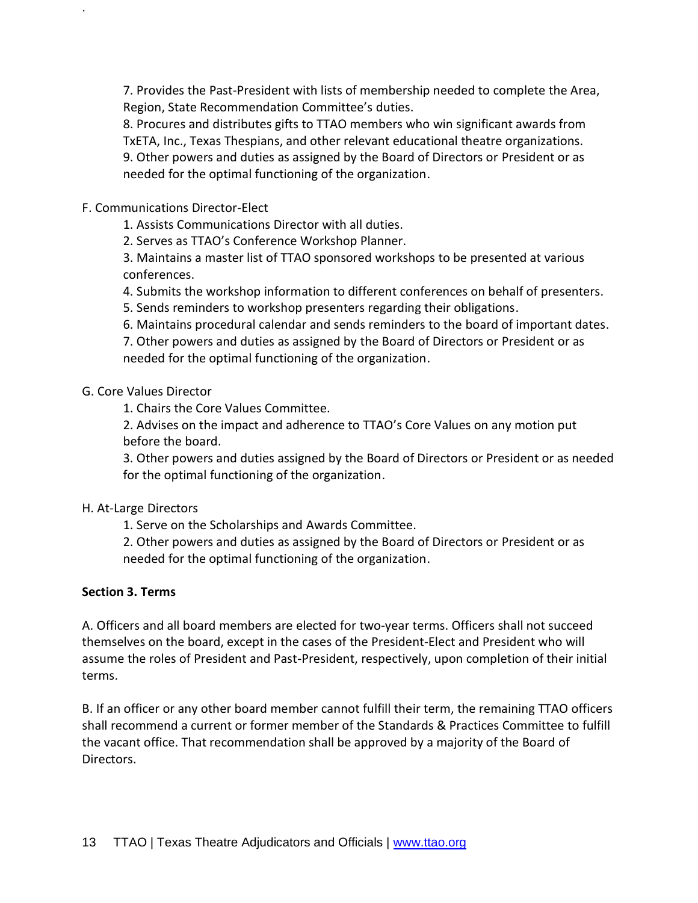7. Provides the Past-President with lists of membership needed to complete the Area, Region, State Recommendation Committee's duties.

8. Procures and distributes gifts to TTAO members who win significant awards from TxETA, Inc., Texas Thespians, and other relevant educational theatre organizations. 9. Other powers and duties as assigned by the Board of Directors or President or as needed for the optimal functioning of the organization.

F. Communications Director-Elect

.

1. Assists Communications Director with all duties.

2. Serves as TTAO's Conference Workshop Planner.

3. Maintains a master list of TTAO sponsored workshops to be presented at various conferences.

4. Submits the workshop information to different conferences on behalf of presenters.

5. Sends reminders to workshop presenters regarding their obligations.

6. Maintains procedural calendar and sends reminders to the board of important dates.

7. Other powers and duties as assigned by the Board of Directors or President or as needed for the optimal functioning of the organization.

# G. Core Values Director

1. Chairs the Core Values Committee.

2. Advises on the impact and adherence to TTAO's Core Values on any motion put before the board.

3. Other powers and duties assigned by the Board of Directors or President or as needed for the optimal functioning of the organization.

# H. At-Large Directors

1. Serve on the Scholarships and Awards Committee.

2. Other powers and duties as assigned by the Board of Directors or President or as needed for the optimal functioning of the organization.

# **Section 3. Terms**

A. Officers and all board members are elected for two-year terms. Officers shall not succeed themselves on the board, except in the cases of the President-Elect and President who will assume the roles of President and Past-President, respectively, upon completion of their initial terms.

B. If an officer or any other board member cannot fulfill their term, the remaining TTAO officers shall recommend a current or former member of the Standards & Practices Committee to fulfill the vacant office. That recommendation shall be approved by a majority of the Board of Directors.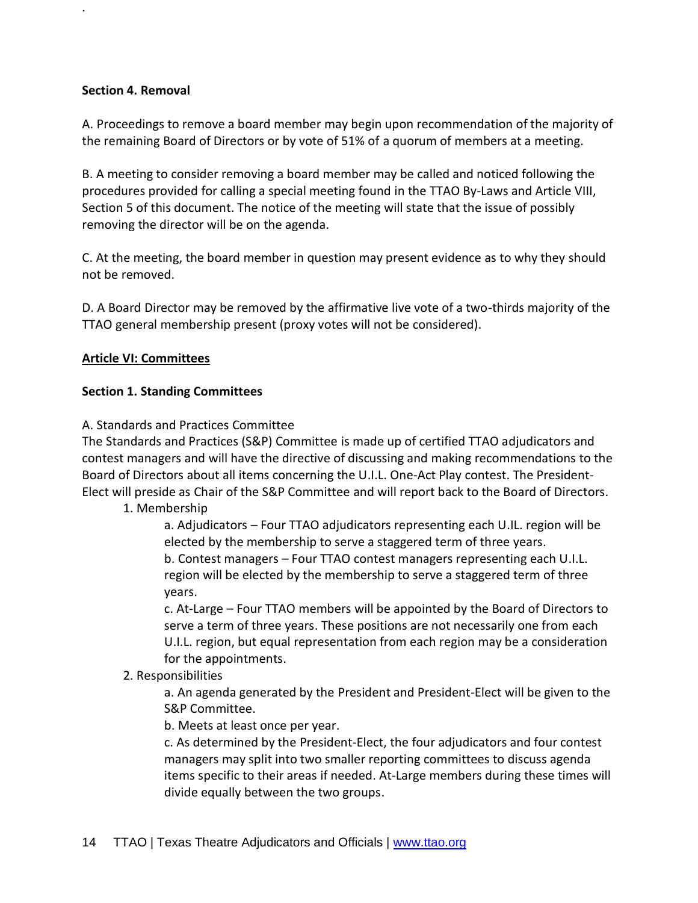#### **Section 4. Removal**

.

A. Proceedings to remove a board member may begin upon recommendation of the majority of the remaining Board of Directors or by vote of 51% of a quorum of members at a meeting.

B. A meeting to consider removing a board member may be called and noticed following the procedures provided for calling a special meeting found in the TTAO By-Laws and Article VIII, Section 5 of this document. The notice of the meeting will state that the issue of possibly removing the director will be on the agenda.

C. At the meeting, the board member in question may present evidence as to why they should not be removed.

D. A Board Director may be removed by the affirmative live vote of a two-thirds majority of the TTAO general membership present (proxy votes will not be considered).

#### **Article VI: Committees**

#### **Section 1. Standing Committees**

A. Standards and Practices Committee

The Standards and Practices (S&P) Committee is made up of certified TTAO adjudicators and contest managers and will have the directive of discussing and making recommendations to the Board of Directors about all items concerning the U.I.L. One-Act Play contest. The President-Elect will preside as Chair of the S&P Committee and will report back to the Board of Directors.

1. Membership

a. Adjudicators – Four TTAO adjudicators representing each U.IL. region will be elected by the membership to serve a staggered term of three years.

b. Contest managers – Four TTAO contest managers representing each U.I.L. region will be elected by the membership to serve a staggered term of three years.

c. At-Large – Four TTAO members will be appointed by the Board of Directors to serve a term of three years. These positions are not necessarily one from each U.I.L. region, but equal representation from each region may be a consideration for the appointments.

2. Responsibilities

a. An agenda generated by the President and President-Elect will be given to the S&P Committee.

b. Meets at least once per year.

c. As determined by the President-Elect, the four adjudicators and four contest managers may split into two smaller reporting committees to discuss agenda items specific to their areas if needed. At-Large members during these times will divide equally between the two groups.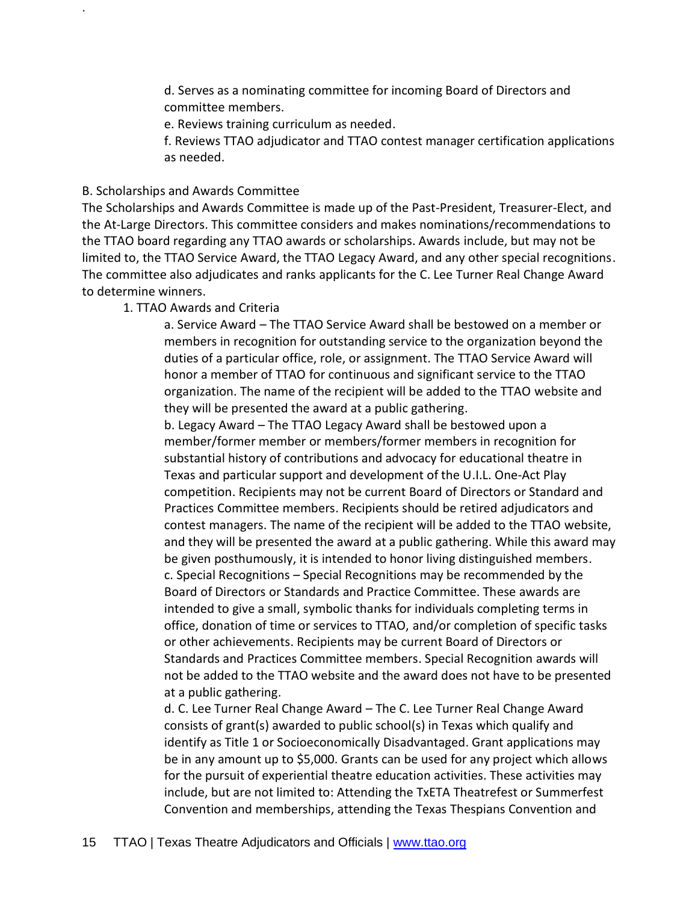d. Serves as a nominating committee for incoming Board of Directors and committee members.

e. Reviews training curriculum as needed.

f. Reviews TTAO adjudicator and TTAO contest manager certification applications as needed.

#### B. Scholarships and Awards Committee

.

The Scholarships and Awards Committee is made up of the Past-President, Treasurer-Elect, and the At-Large Directors. This committee considers and makes nominations/recommendations to the TTAO board regarding any TTAO awards or scholarships. Awards include, but may not be limited to, the TTAO Service Award, the TTAO Legacy Award, and any other special recognitions. The committee also adjudicates and ranks applicants for the C. Lee Turner Real Change Award to determine winners.

1. TTAO Awards and Criteria

a. Service Award – The TTAO Service Award shall be bestowed on a member or members in recognition for outstanding service to the organization beyond the duties of a particular office, role, or assignment. The TTAO Service Award will honor a member of TTAO for continuous and significant service to the TTAO organization. The name of the recipient will be added to the TTAO website and they will be presented the award at a public gathering.

b. Legacy Award – The TTAO Legacy Award shall be bestowed upon a member/former member or members/former members in recognition for substantial history of contributions and advocacy for educational theatre in Texas and particular support and development of the U.I.L. One-Act Play competition. Recipients may not be current Board of Directors or Standard and Practices Committee members. Recipients should be retired adjudicators and contest managers. The name of the recipient will be added to the TTAO website, and they will be presented the award at a public gathering. While this award may be given posthumously, it is intended to honor living distinguished members. c. Special Recognitions – Special Recognitions may be recommended by the Board of Directors or Standards and Practice Committee. These awards are intended to give a small, symbolic thanks for individuals completing terms in office, donation of time or services to TTAO, and/or completion of specific tasks or other achievements. Recipients may be current Board of Directors or Standards and Practices Committee members. Special Recognition awards will not be added to the TTAO website and the award does not have to be presented at a public gathering.

d. C. Lee Turner Real Change Award – The C. Lee Turner Real Change Award consists of grant(s) awarded to public school(s) in Texas which qualify and identify as Title 1 or Socioeconomically Disadvantaged. Grant applications may be in any amount up to \$5,000. Grants can be used for any project which allows for the pursuit of experiential theatre education activities. These activities may include, but are not limited to: Attending the TxETA Theatrefest or Summerfest Convention and memberships, attending the Texas Thespians Convention and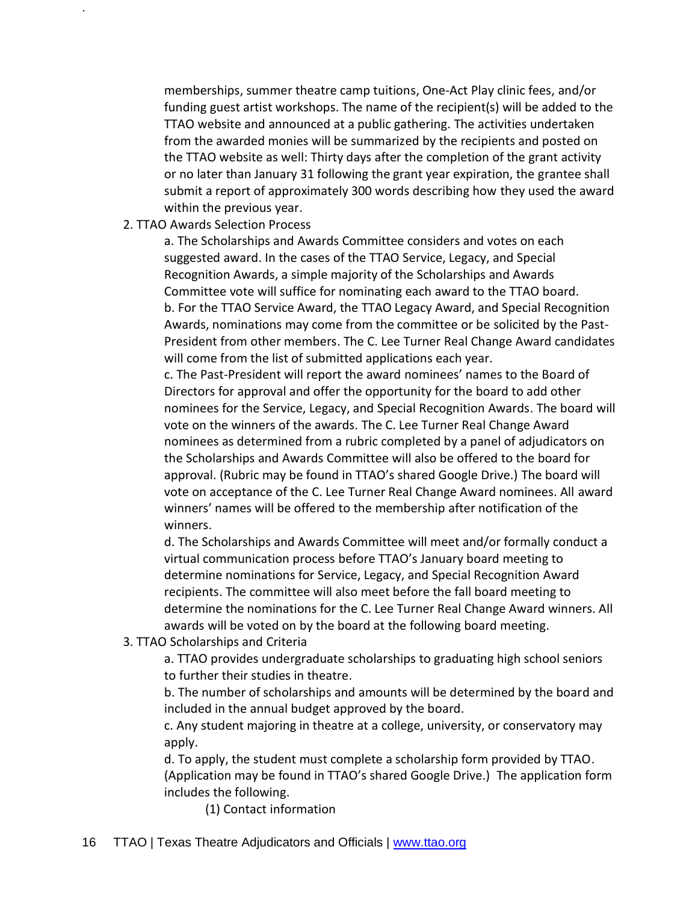memberships, summer theatre camp tuitions, One-Act Play clinic fees, and/or funding guest artist workshops. The name of the recipient(s) will be added to the TTAO website and announced at a public gathering. The activities undertaken from the awarded monies will be summarized by the recipients and posted on the TTAO website as well: Thirty days after the completion of the grant activity or no later than January 31 following the grant year expiration, the grantee shall submit a report of approximately 300 words describing how they used the award within the previous year.

#### 2. TTAO Awards Selection Process

.

a. The Scholarships and Awards Committee considers and votes on each suggested award. In the cases of the TTAO Service, Legacy, and Special Recognition Awards, a simple majority of the Scholarships and Awards Committee vote will suffice for nominating each award to the TTAO board. b. For the TTAO Service Award, the TTAO Legacy Award, and Special Recognition Awards, nominations may come from the committee or be solicited by the Past-President from other members. The C. Lee Turner Real Change Award candidates will come from the list of submitted applications each year.

c. The Past-President will report the award nominees' names to the Board of Directors for approval and offer the opportunity for the board to add other nominees for the Service, Legacy, and Special Recognition Awards. The board will vote on the winners of the awards. The C. Lee Turner Real Change Award nominees as determined from a rubric completed by a panel of adjudicators on the Scholarships and Awards Committee will also be offered to the board for approval. (Rubric may be found in TTAO's shared Google Drive.) The board will vote on acceptance of the C. Lee Turner Real Change Award nominees. All award winners' names will be offered to the membership after notification of the winners.

d. The Scholarships and Awards Committee will meet and/or formally conduct a virtual communication process before TTAO's January board meeting to determine nominations for Service, Legacy, and Special Recognition Award recipients. The committee will also meet before the fall board meeting to determine the nominations for the C. Lee Turner Real Change Award winners. All awards will be voted on by the board at the following board meeting.

3. TTAO Scholarships and Criteria

a. TTAO provides undergraduate scholarships to graduating high school seniors to further their studies in theatre.

b. The number of scholarships and amounts will be determined by the board and included in the annual budget approved by the board.

c. Any student majoring in theatre at a college, university, or conservatory may apply.

d. To apply, the student must complete a scholarship form provided by TTAO. (Application may be found in TTAO's shared Google Drive.) The application form includes the following.

(1) Contact information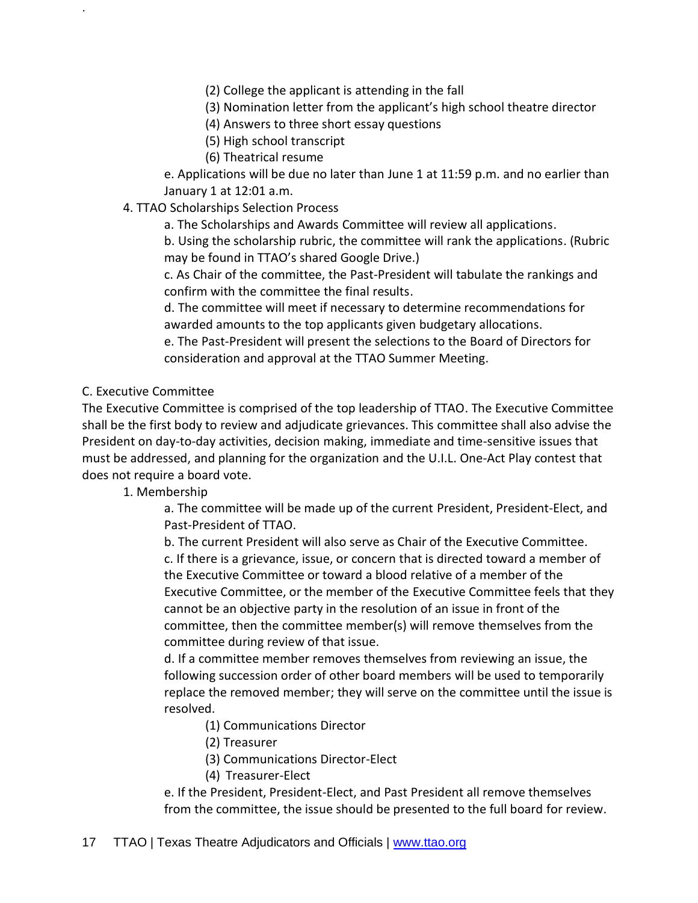(2) College the applicant is attending in the fall

(3) Nomination letter from the applicant's high school theatre director

(4) Answers to three short essay questions

(5) High school transcript

(6) Theatrical resume

e. Applications will be due no later than June 1 at 11:59 p.m. and no earlier than January 1 at 12:01 a.m.

4. TTAO Scholarships Selection Process

a. The Scholarships and Awards Committee will review all applications.

b. Using the scholarship rubric, the committee will rank the applications. (Rubric may be found in TTAO's shared Google Drive.)

c. As Chair of the committee, the Past-President will tabulate the rankings and confirm with the committee the final results.

d. The committee will meet if necessary to determine recommendations for awarded amounts to the top applicants given budgetary allocations.

e. The Past-President will present the selections to the Board of Directors for consideration and approval at the TTAO Summer Meeting.

C. Executive Committee

.

The Executive Committee is comprised of the top leadership of TTAO. The Executive Committee shall be the first body to review and adjudicate grievances. This committee shall also advise the President on day-to-day activities, decision making, immediate and time-sensitive issues that must be addressed, and planning for the organization and the U.I.L. One-Act Play contest that does not require a board vote.

1. Membership

a. The committee will be made up of the current President, President-Elect, and Past-President of TTAO.

b. The current President will also serve as Chair of the Executive Committee. c. If there is a grievance, issue, or concern that is directed toward a member of the Executive Committee or toward a blood relative of a member of the Executive Committee, or the member of the Executive Committee feels that they cannot be an objective party in the resolution of an issue in front of the committee, then the committee member(s) will remove themselves from the committee during review of that issue.

d. If a committee member removes themselves from reviewing an issue, the following succession order of other board members will be used to temporarily replace the removed member; they will serve on the committee until the issue is resolved.

(1) Communications Director

(2) Treasurer

(3) Communications Director-Elect

(4) Treasurer-Elect

e. If the President, President-Elect, and Past President all remove themselves from the committee, the issue should be presented to the full board for review.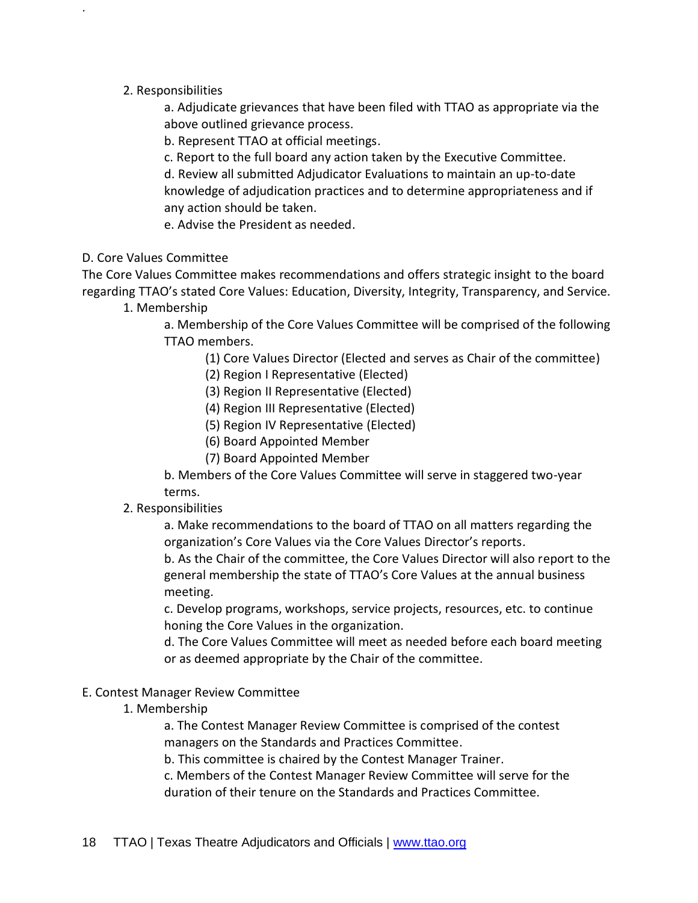#### 2. Responsibilities

.

a. Adjudicate grievances that have been filed with TTAO as appropriate via the above outlined grievance process.

b. Represent TTAO at official meetings.

c. Report to the full board any action taken by the Executive Committee.

d. Review all submitted Adjudicator Evaluations to maintain an up-to-date knowledge of adjudication practices and to determine appropriateness and if any action should be taken.

e. Advise the President as needed.

#### D. Core Values Committee

The Core Values Committee makes recommendations and offers strategic insight to the board regarding TTAO's stated Core Values: Education, Diversity, Integrity, Transparency, and Service.

1. Membership

a. Membership of the Core Values Committee will be comprised of the following TTAO members.

- (1) Core Values Director (Elected and serves as Chair of the committee)
- (2) Region I Representative (Elected)
- (3) Region II Representative (Elected)
- (4) Region III Representative (Elected)
- (5) Region IV Representative (Elected)
- (6) Board Appointed Member
- (7) Board Appointed Member

b. Members of the Core Values Committee will serve in staggered two-year terms.

#### 2. Responsibilities

a. Make recommendations to the board of TTAO on all matters regarding the organization's Core Values via the Core Values Director's reports.

b. As the Chair of the committee, the Core Values Director will also report to the general membership the state of TTAO's Core Values at the annual business meeting.

c. Develop programs, workshops, service projects, resources, etc. to continue honing the Core Values in the organization.

d. The Core Values Committee will meet as needed before each board meeting or as deemed appropriate by the Chair of the committee.

#### E. Contest Manager Review Committee

#### 1. Membership

a. The Contest Manager Review Committee is comprised of the contest managers on the Standards and Practices Committee.

b. This committee is chaired by the Contest Manager Trainer.

c. Members of the Contest Manager Review Committee will serve for the duration of their tenure on the Standards and Practices Committee.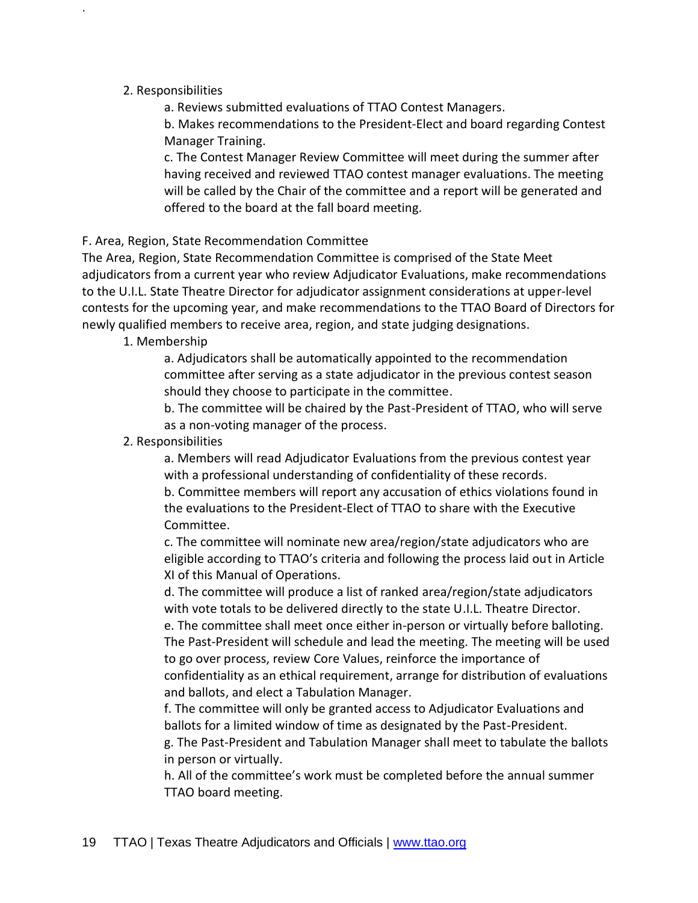#### 2. Responsibilities

.

a. Reviews submitted evaluations of TTAO Contest Managers.

b. Makes recommendations to the President-Elect and board regarding Contest Manager Training.

c. The Contest Manager Review Committee will meet during the summer after having received and reviewed TTAO contest manager evaluations. The meeting will be called by the Chair of the committee and a report will be generated and offered to the board at the fall board meeting.

#### F. Area, Region, State Recommendation Committee

The Area, Region, State Recommendation Committee is comprised of the State Meet adjudicators from a current year who review Adjudicator Evaluations, make recommendations to the U.I.L. State Theatre Director for adjudicator assignment considerations at upper-level contests for the upcoming year, and make recommendations to the TTAO Board of Directors for newly qualified members to receive area, region, and state judging designations.

#### 1. Membership

a. Adjudicators shall be automatically appointed to the recommendation committee after serving as a state adjudicator in the previous contest season should they choose to participate in the committee.

b. The committee will be chaired by the Past-President of TTAO, who will serve as a non-voting manager of the process.

#### 2. Responsibilities

a. Members will read Adjudicator Evaluations from the previous contest year with a professional understanding of confidentiality of these records.

b. Committee members will report any accusation of ethics violations found in the evaluations to the President-Elect of TTAO to share with the Executive Committee.

c. The committee will nominate new area/region/state adjudicators who are eligible according to TTAO's criteria and following the process laid out in Article XI of this Manual of Operations.

d. The committee will produce a list of ranked area/region/state adjudicators with vote totals to be delivered directly to the state U.I.L. Theatre Director.

e. The committee shall meet once either in-person or virtually before balloting. The Past-President will schedule and lead the meeting. The meeting will be used to go over process, review Core Values, reinforce the importance of confidentiality as an ethical requirement, arrange for distribution of evaluations and ballots, and elect a Tabulation Manager.

f. The committee will only be granted access to Adjudicator Evaluations and ballots for a limited window of time as designated by the Past-President.

g. The Past-President and Tabulation Manager shall meet to tabulate the ballots in person or virtually.

h. All of the committee's work must be completed before the annual summer TTAO board meeting.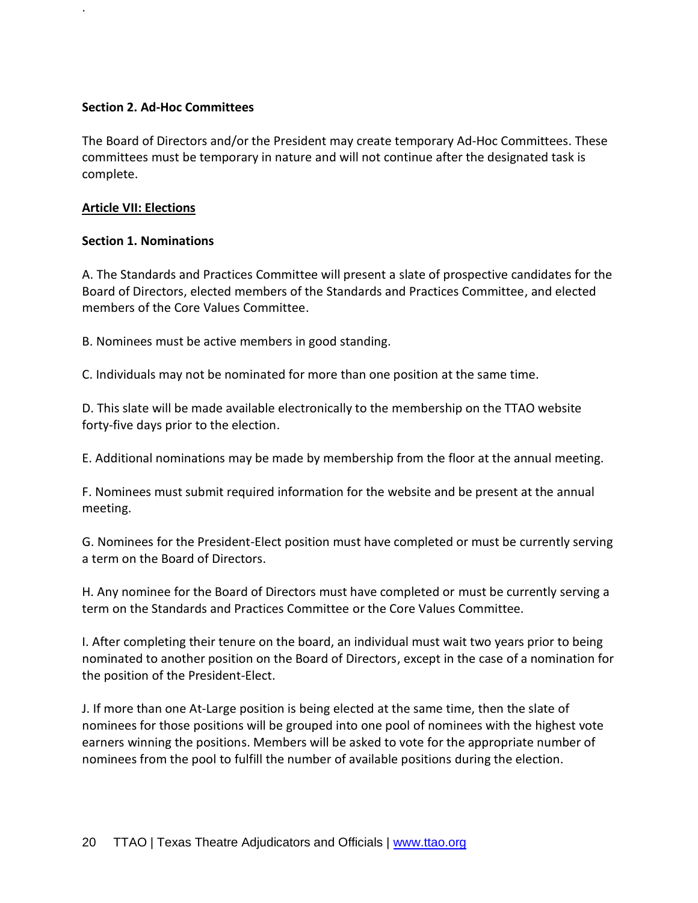#### **Section 2. Ad-Hoc Committees**

The Board of Directors and/or the President may create temporary Ad-Hoc Committees. These committees must be temporary in nature and will not continue after the designated task is complete.

#### **Article VII: Elections**

.

#### **Section 1. Nominations**

A. The Standards and Practices Committee will present a slate of prospective candidates for the Board of Directors, elected members of the Standards and Practices Committee, and elected members of the Core Values Committee.

B. Nominees must be active members in good standing.

C. Individuals may not be nominated for more than one position at the same time.

D. This slate will be made available electronically to the membership on the TTAO website forty-five days prior to the election.

E. Additional nominations may be made by membership from the floor at the annual meeting.

F. Nominees must submit required information for the website and be present at the annual meeting.

G. Nominees for the President-Elect position must have completed or must be currently serving a term on the Board of Directors.

H. Any nominee for the Board of Directors must have completed or must be currently serving a term on the Standards and Practices Committee or the Core Values Committee.

I. After completing their tenure on the board, an individual must wait two years prior to being nominated to another position on the Board of Directors, except in the case of a nomination for the position of the President-Elect.

J. If more than one At-Large position is being elected at the same time, then the slate of nominees for those positions will be grouped into one pool of nominees with the highest vote earners winning the positions. Members will be asked to vote for the appropriate number of nominees from the pool to fulfill the number of available positions during the election.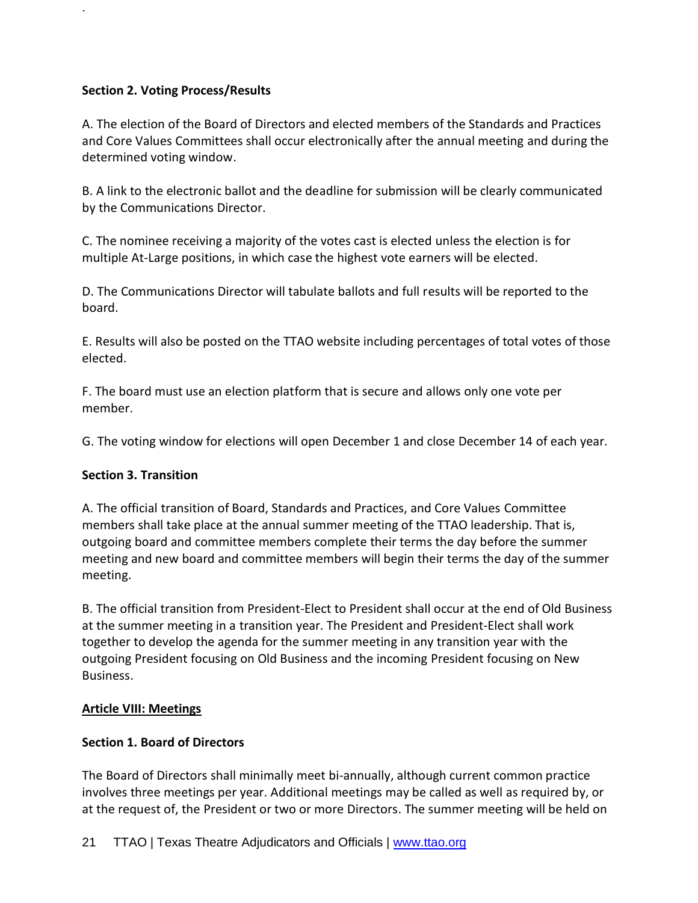# **Section 2. Voting Process/Results**

.

A. The election of the Board of Directors and elected members of the Standards and Practices and Core Values Committees shall occur electronically after the annual meeting and during the determined voting window.

B. A link to the electronic ballot and the deadline for submission will be clearly communicated by the Communications Director.

C. The nominee receiving a majority of the votes cast is elected unless the election is for multiple At-Large positions, in which case the highest vote earners will be elected.

D. The Communications Director will tabulate ballots and full results will be reported to the board.

E. Results will also be posted on the TTAO website including percentages of total votes of those elected.

F. The board must use an election platform that is secure and allows only one vote per member.

G. The voting window for elections will open December 1 and close December 14 of each year.

# **Section 3. Transition**

A. The official transition of Board, Standards and Practices, and Core Values Committee members shall take place at the annual summer meeting of the TTAO leadership. That is, outgoing board and committee members complete their terms the day before the summer meeting and new board and committee members will begin their terms the day of the summer meeting.

B. The official transition from President-Elect to President shall occur at the end of Old Business at the summer meeting in a transition year. The President and President-Elect shall work together to develop the agenda for the summer meeting in any transition year with the outgoing President focusing on Old Business and the incoming President focusing on New Business.

# **Article VIII: Meetings**

# **Section 1. Board of Directors**

The Board of Directors shall minimally meet bi-annually, although current common practice involves three meetings per year. Additional meetings may be called as well as required by, or at the request of, the President or two or more Directors. The summer meeting will be held on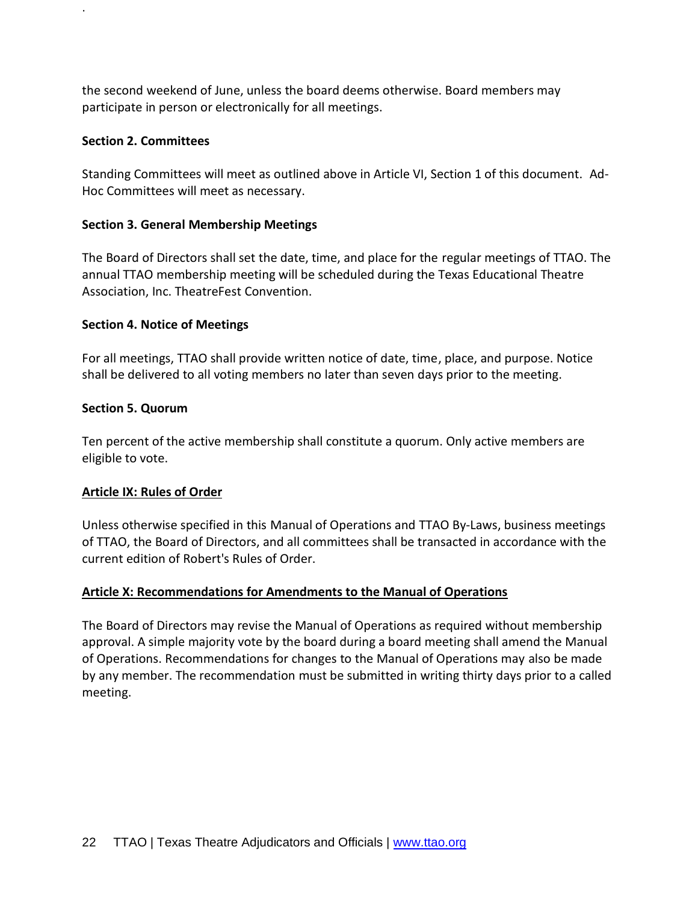the second weekend of June, unless the board deems otherwise. Board members may participate in person or electronically for all meetings.

#### **Section 2. Committees**

.

Standing Committees will meet as outlined above in Article VI, Section 1 of this document. Ad-Hoc Committees will meet as necessary.

#### **Section 3. General Membership Meetings**

The Board of Directors shall set the date, time, and place for the regular meetings of TTAO. The annual TTAO membership meeting will be scheduled during the Texas Educational Theatre Association, Inc. TheatreFest Convention.

#### **Section 4. Notice of Meetings**

For all meetings, TTAO shall provide written notice of date, time, place, and purpose. Notice shall be delivered to all voting members no later than seven days prior to the meeting.

#### **Section 5. Quorum**

Ten percent of the active membership shall constitute a quorum. Only active members are eligible to vote.

# **Article IX: Rules of Order**

Unless otherwise specified in this Manual of Operations and TTAO By-Laws, business meetings of TTAO, the Board of Directors, and all committees shall be transacted in accordance with the current edition of Robert's Rules of Order.

# **Article X: Recommendations for Amendments to the Manual of Operations**

The Board of Directors may revise the Manual of Operations as required without membership approval. A simple majority vote by the board during a board meeting shall amend the Manual of Operations. Recommendations for changes to the Manual of Operations may also be made by any member. The recommendation must be submitted in writing thirty days prior to a called meeting.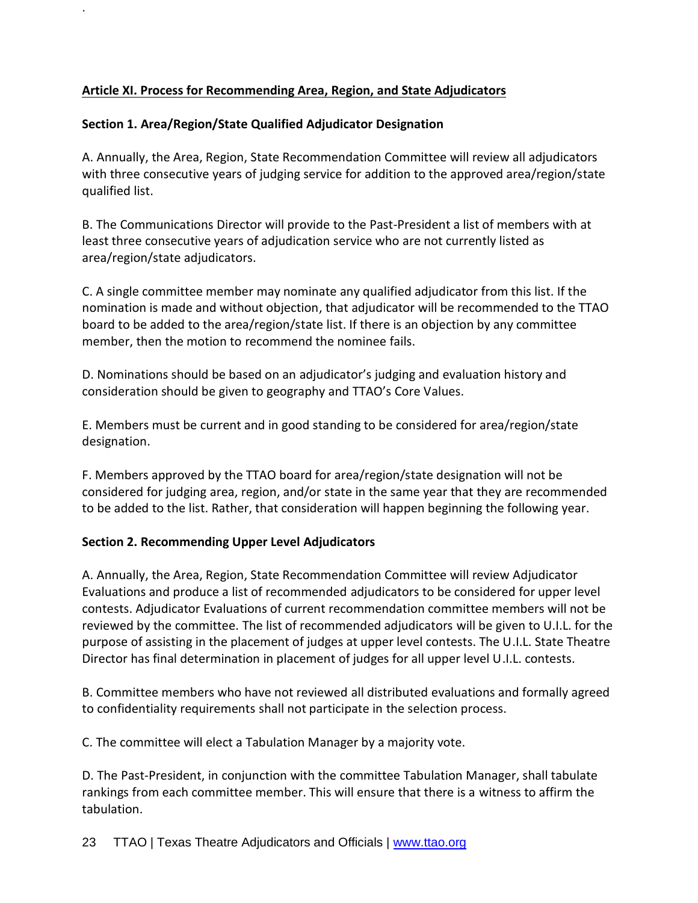# **Article XI. Process for Recommending Area, Region, and State Adjudicators**

# **Section 1. Area/Region/State Qualified Adjudicator Designation**

.

A. Annually, the Area, Region, State Recommendation Committee will review all adjudicators with three consecutive years of judging service for addition to the approved area/region/state qualified list.

B. The Communications Director will provide to the Past-President a list of members with at least three consecutive years of adjudication service who are not currently listed as area/region/state adjudicators.

C. A single committee member may nominate any qualified adjudicator from this list. If the nomination is made and without objection, that adjudicator will be recommended to the TTAO board to be added to the area/region/state list. If there is an objection by any committee member, then the motion to recommend the nominee fails.

D. Nominations should be based on an adjudicator's judging and evaluation history and consideration should be given to geography and TTAO's Core Values.

E. Members must be current and in good standing to be considered for area/region/state designation.

F. Members approved by the TTAO board for area/region/state designation will not be considered for judging area, region, and/or state in the same year that they are recommended to be added to the list. Rather, that consideration will happen beginning the following year.

# **Section 2. Recommending Upper Level Adjudicators**

A. Annually, the Area, Region, State Recommendation Committee will review Adjudicator Evaluations and produce a list of recommended adjudicators to be considered for upper level contests. Adjudicator Evaluations of current recommendation committee members will not be reviewed by the committee. The list of recommended adjudicators will be given to U.I.L. for the purpose of assisting in the placement of judges at upper level contests. The U.I.L. State Theatre Director has final determination in placement of judges for all upper level U.I.L. contests.

B. Committee members who have not reviewed all distributed evaluations and formally agreed to confidentiality requirements shall not participate in the selection process.

C. The committee will elect a Tabulation Manager by a majority vote.

D. The Past-President, in conjunction with the committee Tabulation Manager, shall tabulate rankings from each committee member. This will ensure that there is a witness to affirm the tabulation.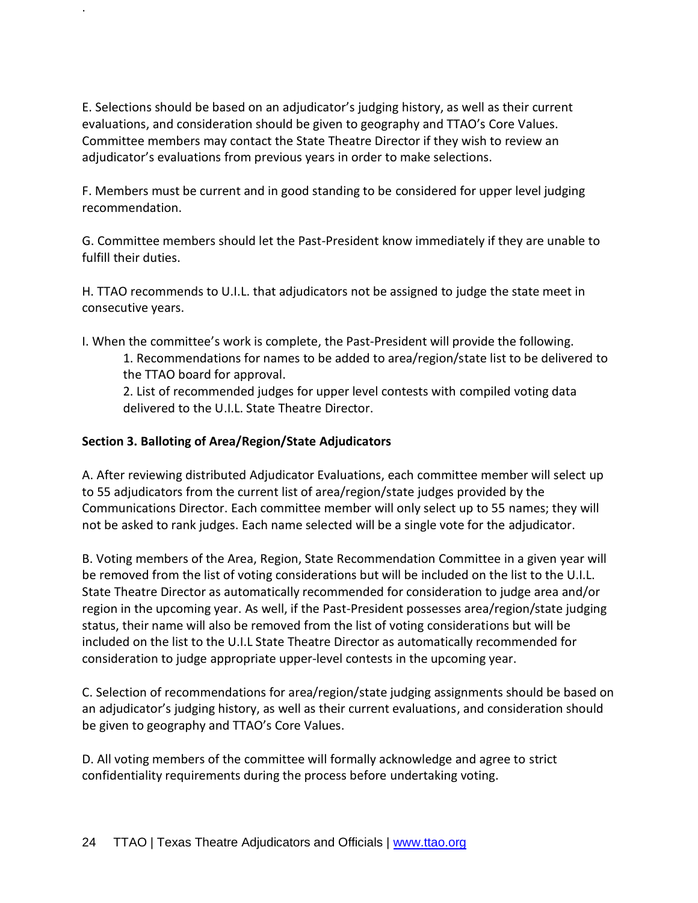E. Selections should be based on an adjudicator's judging history, as well as their current evaluations, and consideration should be given to geography and TTAO's Core Values. Committee members may contact the State Theatre Director if they wish to review an adjudicator's evaluations from previous years in order to make selections.

F. Members must be current and in good standing to be considered for upper level judging recommendation.

G. Committee members should let the Past-President know immediately if they are unable to fulfill their duties.

H. TTAO recommends to U.I.L. that adjudicators not be assigned to judge the state meet in consecutive years.

I. When the committee's work is complete, the Past-President will provide the following.

1. Recommendations for names to be added to area/region/state list to be delivered to the TTAO board for approval.

2. List of recommended judges for upper level contests with compiled voting data delivered to the U.I.L. State Theatre Director.

# **Section 3. Balloting of Area/Region/State Adjudicators**

.

A. After reviewing distributed Adjudicator Evaluations, each committee member will select up to 55 adjudicators from the current list of area/region/state judges provided by the Communications Director. Each committee member will only select up to 55 names; they will not be asked to rank judges. Each name selected will be a single vote for the adjudicator.

B. Voting members of the Area, Region, State Recommendation Committee in a given year will be removed from the list of voting considerations but will be included on the list to the U.I.L. State Theatre Director as automatically recommended for consideration to judge area and/or region in the upcoming year. As well, if the Past-President possesses area/region/state judging status, their name will also be removed from the list of voting considerations but will be included on the list to the U.I.L State Theatre Director as automatically recommended for consideration to judge appropriate upper-level contests in the upcoming year.

C. Selection of recommendations for area/region/state judging assignments should be based on an adjudicator's judging history, as well as their current evaluations, and consideration should be given to geography and TTAO's Core Values.

D. All voting members of the committee will formally acknowledge and agree to strict confidentiality requirements during the process before undertaking voting.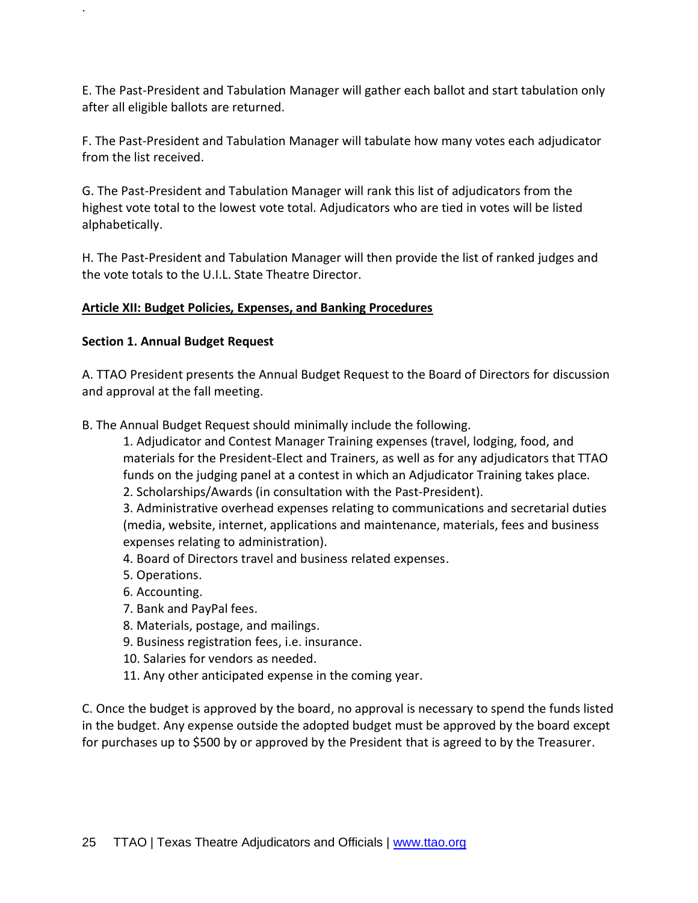E. The Past-President and Tabulation Manager will gather each ballot and start tabulation only after all eligible ballots are returned.

F. The Past-President and Tabulation Manager will tabulate how many votes each adjudicator from the list received.

G. The Past-President and Tabulation Manager will rank this list of adjudicators from the highest vote total to the lowest vote total. Adjudicators who are tied in votes will be listed alphabetically.

H. The Past-President and Tabulation Manager will then provide the list of ranked judges and the vote totals to the U.I.L. State Theatre Director.

# **Article XII: Budget Policies, Expenses, and Banking Procedures**

# **Section 1. Annual Budget Request**

.

A. TTAO President presents the Annual Budget Request to the Board of Directors for discussion and approval at the fall meeting.

B. The Annual Budget Request should minimally include the following.

1. Adjudicator and Contest Manager Training expenses (travel, lodging, food, and materials for the President-Elect and Trainers, as well as for any adjudicators that TTAO funds on the judging panel at a contest in which an Adjudicator Training takes place.

2. Scholarships/Awards (in consultation with the Past-President).

3. Administrative overhead expenses relating to communications and secretarial duties (media, website, internet, applications and maintenance, materials, fees and business expenses relating to administration).

- 4. Board of Directors travel and business related expenses.
- 5. Operations.
- 6. Accounting.
- 7. Bank and PayPal fees.
- 8. Materials, postage, and mailings.
- 9. Business registration fees, i.e. insurance.
- 10. Salaries for vendors as needed.
- 11. Any other anticipated expense in the coming year.

C. Once the budget is approved by the board, no approval is necessary to spend the funds listed in the budget. Any expense outside the adopted budget must be approved by the board except for purchases up to \$500 by or approved by the President that is agreed to by the Treasurer.